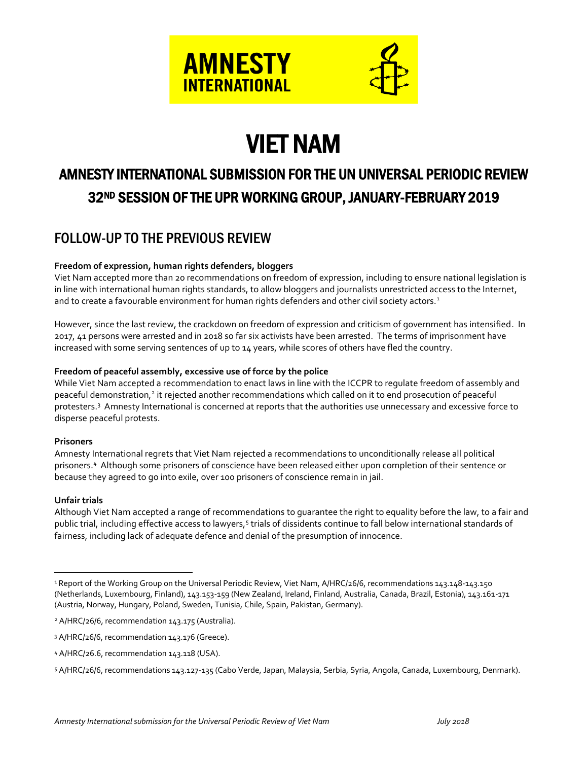

# VIET NAM

# AMNESTY INTERNATIONAL SUBMISSION FOR THE UN UNIVERSAL PERIODIC REVIEW 32ND SESSION OF THE UPR WORKING GROUP, JANUARY-FEBRUARY 2019

# FOLLOW-UP TO THE PREVIOUS REVIEW

#### **Freedom of expression, human rights defenders, bloggers**

Viet Nam accepted more than 20 recommendations on freedom of expression, including to ensure national legislation is in line with international human rights standards, to allow bloggers and journalists unrestricted access to the Internet, and to create a favourable environment for human rights defenders and other civil society actors.<sup>1</sup>

However, since the last review, the crackdown on freedom of expression and criticism of government has intensified. In 2017, 41 persons were arrested and in 2018 so far six activists have been arrested. The terms of imprisonment have increased with some serving sentences of up to 14 years, while scores of others have fled the country.

#### **Freedom of peaceful assembly, excessive use of force by the police**

While Viet Nam accepted a recommendation to enact laws in line with the ICCPR to regulate freedom of assembly and peaceful demonstration,<sup>2</sup> it rejected another recommendations which called on it to end prosecution of peaceful protesters.<sup>3</sup> Amnesty International is concerned at reports that the authorities use unnecessary and excessive force to disperse peaceful protests.

#### **Prisoners**

Amnesty International regrets that Viet Nam rejected a recommendations to unconditionally release all political prisoners. <sup>4</sup> Although some prisoners of conscience have been released either upon completion of their sentence or because they agreed to go into exile, over 100 prisoners of conscience remain in jail.

#### **Unfair trials**

 $\overline{a}$ 

Although Viet Nam accepted a range of recommendations to guarantee the right to equality before the law, to a fair and public trial, including effective access to lawyers,<sup>5</sup> trials of dissidents continue to fall below international standards of fairness, including lack of adequate defence and denial of the presumption of innocence.

<sup>&</sup>lt;sup>1</sup> Report of the Working Group on the Universal Periodic Review, Viet Nam, A/HRC/26/6, recommendations 143.148-143.150 (Netherlands, Luxembourg, Finland), 143.153-159 (New Zealand, Ireland, Finland, Australia, Canada, Brazil, Estonia), 143.161-171 (Austria, Norway, Hungary, Poland, Sweden, Tunisia, Chile, Spain, Pakistan, Germany).

<sup>&</sup>lt;sup>2</sup> A/HRC/26/6, recommendation 143.175 (Australia).

<sup>3</sup> A/HRC/26/6, recommendation 143.176 (Greece).

<sup>4</sup> A/HRC/26.6, recommendation 143.118 (USA).

<sup>5</sup> A/HRC/26/6, recommendations 143.127-135 (Cabo Verde, Japan, Malaysia, Serbia, Syria, Angola, Canada, Luxembourg, Denmark).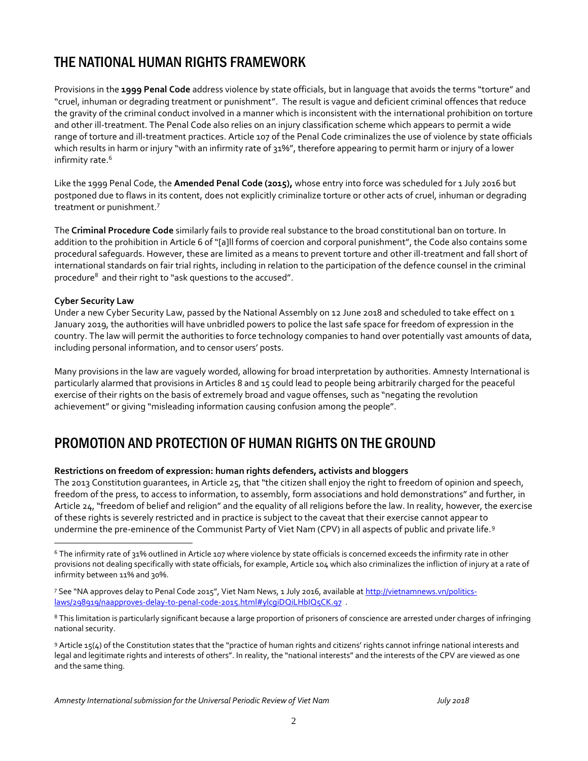# THE NATIONAL HUMAN RIGHTS FRAMEWORK

Provisions in the **1999 Penal Code** address violence by state officials, but in language that avoids the terms "torture" and "cruel, inhuman or degrading treatment or punishment". The result is vague and deficient criminal offences that reduce the gravity of the criminal conduct involved in a manner which is inconsistent with the international prohibition on torture and other ill-treatment. The Penal Code also relies on an injury classification scheme which appears to permit a wide range of torture and ill-treatment practices. Article 107 of the Penal Code criminalizes the use of violence by state officials which results in harm or injury "with an infirmity rate of 31%", therefore appearing to permit harm or injury of a lower infirmity rate.<sup>6</sup>

Like the 1999 Penal Code, the **Amended Penal Code (2015),** whose entry into force was scheduled for 1 July 2016 but postponed due to flaws in its content, does not explicitly criminalize torture or other acts of cruel, inhuman or degrading treatment or punishment.<sup>7</sup>

The **Criminal Procedure Code** similarly fails to provide real substance to the broad constitutional ban on torture. In addition to the prohibition in Article 6 of "[a]ll forms of coercion and corporal punishment", the Code also contains some procedural safeguards. However, these are limited as a means to prevent torture and other ill-treatment and fall short of international standards on fair trial rights, including in relation to the participation of the defence counsel in the criminal procedure<sup>8</sup> and their right to "ask questions to the accused".

#### **Cyber Security Law**

 $\overline{a}$ 

Under a new Cyber Security Law, passed by the National Assembly on 12 June 2018 and scheduled to take effect on 1 January 2019, the authorities will have unbridled powers to police the last safe space for freedom of expression in the country. The law will permit the authorities to force technology companies to hand over potentially vast amounts of data, including personal information, and to censor users' posts.

Many provisions in the law are vaguely worded, allowing for broad interpretation by authorities. Amnesty International is particularly alarmed that provisions in Articles 8 and 15 could lead to people being arbitrarily charged for the peaceful exercise of their rights on the basis of extremely broad and vague offenses, such as "negating the revolution achievement" or giving "misleading information causing confusion among the people".

### PROMOTION AND PROTECTION OF HUMAN RIGHTS ON THE GROUND

#### **Restrictions on freedom of expression: human rights defenders, activists and bloggers**

The 2013 Constitution guarantees, in Article 25, that "the citizen shall enjoy the right to freedom of opinion and speech, freedom of the press, to access to information, to assembly, form associations and hold demonstrations" and further, in Article 24, "freedom of belief and religion" and the equality of all religions before the law. In reality, however, the exercise of these rights is severely restricted and in practice is subject to the caveat that their exercise cannot appear to undermine the pre-eminence of the Communist Party of Viet Nam (CPV) in all aspects of public and private life.<sup>9</sup>

<sup>6</sup> The infirmity rate of 31% outlined in Article 107 where violence by state officials is concerned exceeds the infirmity rate in other provisions not dealing specifically with state officials, for example, Article 104 which also criminalizes the infliction of injury at a rate of infirmity between 11% and 30%.

<sup>7</sup> See "NA approves delay to Penal Code 2015", Viet Nam News, 1 July 2016, available at [http://vietnamnews.vn/politics](http://vietnamnews.vn/politics-laws/298919/naapproves-delay-to-penal-code-2015.html#ylcgiDQiLHbIQ5CK.97)[laws/298919/naapproves-delay-to-penal-code-2015.html#ylcgiDQiLHbIQ5CK.97](http://vietnamnews.vn/politics-laws/298919/naapproves-delay-to-penal-code-2015.html#ylcgiDQiLHbIQ5CK.97) .

<sup>8</sup> This limitation is particularly significant because a large proportion of prisoners of conscience are arrested under charges of infringing national security.

<sup>9</sup> Article 15(4) of the Constitution states that the "practice of human rights and citizens' rights cannot infringe national interests and legal and legitimate rights and interests of others". In reality, the "national interests" and the interests of the CPV are viewed as one and the same thing.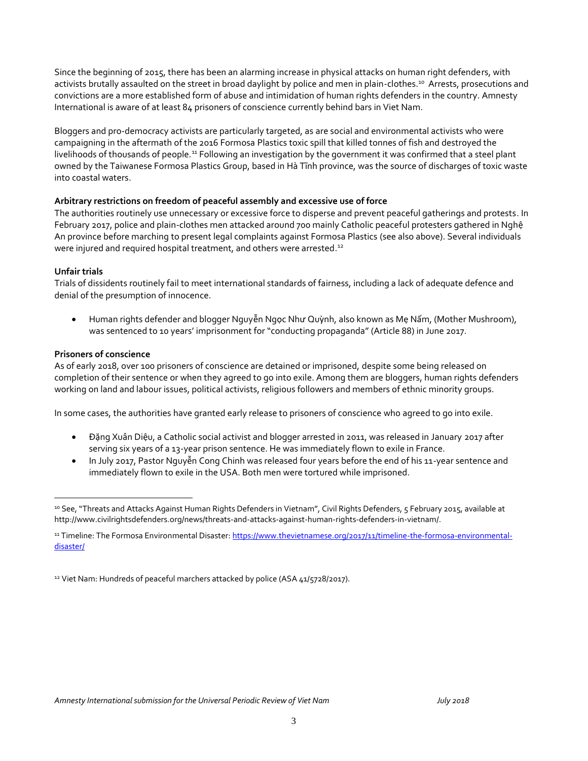Since the beginning of 2015, there has been an alarming increase in physical attacks on human right defenders, with activists brutally assaulted on the street in broad daylight by police and men in plain-clothes.<sup>10</sup> Arrests, prosecutions and convictions are a more established form of abuse and intimidation of human rights defenders in the country. Amnesty International is aware of at least 84 prisoners of conscience currently behind bars in Viet Nam.

Bloggers and pro-democracy activists are particularly targeted, as are social and environmental activists who were campaigning in the aftermath of the 2016 Formosa Plastics toxic spill that killed tonnes of fish and destroyed the livelihoods of thousands of people.<sup>11</sup> Following an investigation by the government it was confirmed that a steel plant owned by the Taiwanese Formosa Plastics Group, based in Hà Tĩnh province, was the source of discharges of toxic waste into coastal waters.

#### **Arbitrary restrictions on freedom of peaceful assembly and excessive use of force**

The authorities routinely use unnecessary or excessive force to disperse and prevent peaceful gatherings and protests. In February 2017, police and plain-clothes men attacked around 700 mainly Catholic peaceful protesters gathered in Nghệ An province before marching to present legal complaints against Formosa Plastics (see also above). Several individuals were injured and required hospital treatment, and others were arrested.<sup>12</sup>

#### **Unfair trials**

 $\overline{a}$ 

Trials of dissidents routinely fail to meet international standards of fairness, including a lack of adequate defence and denial of the presumption of innocence.

 Human rights defender and blogger Nguyễn Ngọc Như Quỳnh, also known as Mẹ Nấm, (Mother Mushroom), was sentenced to 10 years' imprisonment for "conducting propaganda" (Article 88) in June 2017.

#### **Prisoners of conscience**

As of early 2018, over 100 prisoners of conscience are detained or imprisoned, despite some being released on completion of their sentence or when they agreed to go into exile. Among them are bloggers, human rights defenders working on land and labour issues, political activists, religious followers and members of ethnic minority groups.

In some cases, the authorities have granted early release to prisoners of conscience who agreed to go into exile.

- Đặng Xuân Diệu, a Catholic social activist and blogger arrested in 2011, was released in January 2017 after serving six years of a 13-year prison sentence. He was immediately flown to exile in France.
- In July 2017, Pastor Nguyễn Cong Chinh was released four years before the end of his 11-year sentence and immediately flown to exile in the USA. Both men were tortured while imprisoned.

<sup>10</sup> See, "Threats and Attacks Against Human Rights Defenders in Vietnam", Civil Rights Defenders, 5 February 2015, available at http://www.civilrightsdefenders.org/news/threats-and-attacks-against-human-rights-defenders-in-vietnam/.

<sup>11</sup> Timeline: The Formosa Environmental Disaster[: https://www.thevietnamese.org/2017/11/timeline-the-formosa-environmental](https://www.thevietnamese.org/2017/11/timeline-the-formosa-environmental-disaster/)[disaster/](https://www.thevietnamese.org/2017/11/timeline-the-formosa-environmental-disaster/)

<sup>&</sup>lt;sup>12</sup> Viet Nam: Hundreds of peaceful marchers attacked by police (ASA 41/5728/2017).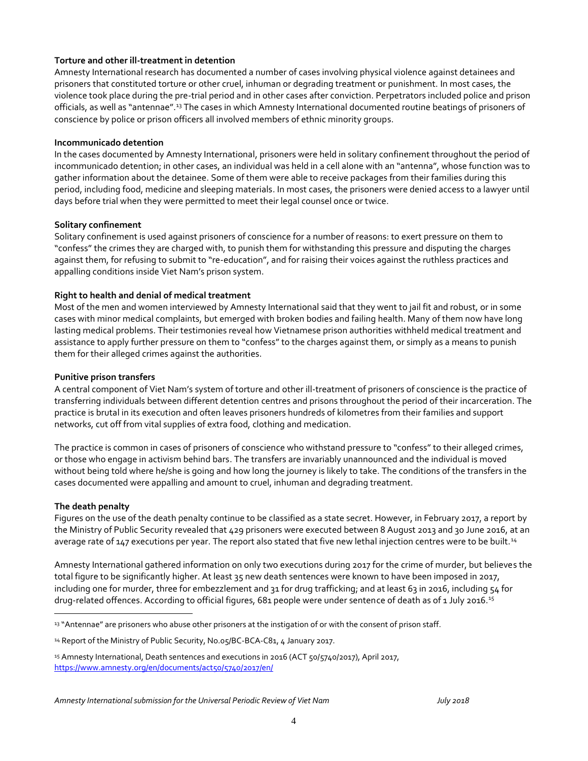#### **Torture and other ill-treatment in detention**

Amnesty International research has documented a number of cases involving physical violence against detainees and prisoners that constituted torture or other cruel, inhuman or degrading treatment or punishment. In most cases, the violence took place during the pre-trial period and in other cases after conviction. Perpetrators included police and prison officials, as well as "antennae".<sup>13</sup> The cases in which Amnesty International documented routine beatings of prisoners of conscience by police or prison officers all involved members of ethnic minority groups.

#### **Incommunicado detention**

In the cases documented by Amnesty International, prisoners were held in solitary confinement throughout the period of incommunicado detention; in other cases, an individual was held in a cell alone with an "antenna", whose function was to gather information about the detainee. Some of them were able to receive packages from their families during this period, including food, medicine and sleeping materials. In most cases, the prisoners were denied access to a lawyer until days before trial when they were permitted to meet their legal counsel once or twice.

#### **Solitary confinement**

Solitary confinement is used against prisoners of conscience for a number of reasons: to exert pressure on them to "confess" the crimes they are charged with, to punish them for withstanding this pressure and disputing the charges against them, for refusing to submit to "re-education", and for raising their voices against the ruthless practices and appalling conditions inside Viet Nam's prison system.

#### **Right to health and denial of medical treatment**

Most of the men and women interviewed by Amnesty International said that they went to jail fit and robust, or in some cases with minor medical complaints, but emerged with broken bodies and failing health. Many of them now have long lasting medical problems. Their testimonies reveal how Vietnamese prison authorities withheld medical treatment and assistance to apply further pressure on them to "confess" to the charges against them, or simply as a means to punish them for their alleged crimes against the authorities.

#### **Punitive prison transfers**

A central component of Viet Nam's system of torture and other ill-treatment of prisoners of conscience is the practice of transferring individuals between different detention centres and prisons throughout the period of their incarceration. The practice is brutal in its execution and often leaves prisoners hundreds of kilometres from their families and support networks, cut off from vital supplies of extra food, clothing and medication.

The practice is common in cases of prisoners of conscience who withstand pressure to "confess" to their alleged crimes, or those who engage in activism behind bars. The transfers are invariably unannounced and the individual is moved without being told where he/she is going and how long the journey is likely to take. The conditions of the transfers in the cases documented were appalling and amount to cruel, inhuman and degrading treatment.

#### **The death penalty**

 $\overline{a}$ 

Figures on the use of the death penalty continue to be classified as a state secret. However, in February 2017, a report by the Ministry of Public Security revealed that 429 prisoners were executed between 8 August 2013 and 30 June 2016, at an average rate of 147 executions per year. The report also stated that five new lethal injection centres were to be built.<sup>14</sup>

Amnesty International gathered information on only two executions during 2017 for the crime of murder, but believes the total figure to be significantly higher. At least 35 new death sentences were known to have been imposed in 2017, including one for murder, three for embezzlement and 31 for drug trafficking; and at least 63 in 2016, including 54 for drug-related offences. According to official figures, 681 people were under sentence of death as of 1 July 2016.<sup>15</sup>

<sup>13 &</sup>quot;Antennae" are prisoners who abuse other prisoners at the instigation of or with the consent of prison staff.

<sup>&</sup>lt;sup>14</sup> Report of the Ministry of Public Security, No.05/BC-BCA-C81, 4 January 2017.

<sup>15</sup> Amnesty International, Death sentences and executions in 2016 (ACT 50/5740/2017), April 2017, <https://www.amnesty.org/en/documents/act50/5740/2017/en/>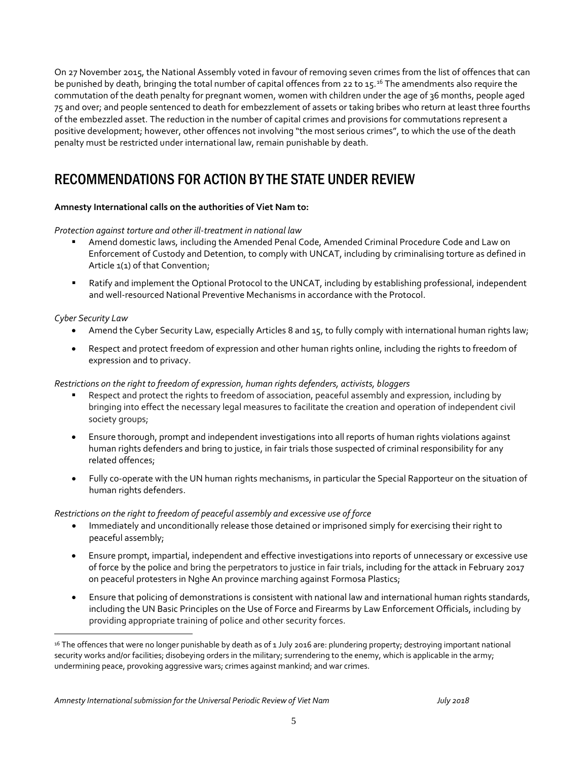On 27 November 2015, the National Assembly voted in favour of removing seven crimes from the list of offences that can be punished by death, bringing the total number of capital offences from 22 to 15.<sup>16</sup> The amendments also require the commutation of the death penalty for pregnant women, women with children under the age of 36 months, people aged 75 and over; and people sentenced to death for embezzlement of assets or taking bribes who return at least three fourths of the embezzled asset. The reduction in the number of capital crimes and provisions for commutations represent a positive development; however, other offences not involving "the most serious crimes", to which the use of the death penalty must be restricted under international law, remain punishable by death.

## RECOMMENDATIONS FOR ACTION BY THE STATE UNDER REVIEW

#### **Amnesty International calls on the authorities of Viet Nam to:**

*Protection against torture and other ill-treatment in national law*

- Amend domestic laws, including the Amended Penal Code, Amended Criminal Procedure Code and Law on Enforcement of Custody and Detention, to comply with UNCAT, including by criminalising torture as defined in Article 1(1) of that Convention;
- Ratify and implement the Optional Protocol to the UNCAT, including by establishing professional, independent and well-resourced National Preventive Mechanisms in accordance with the Protocol.

*Cyber Security Law* 

 $\overline{a}$ 

- Amend the Cyber Security Law, especially Articles 8 and 15, to fully comply with international human rights law;
- Respect and protect freedom of expression and other human rights online, including the rights to freedom of expression and to privacy.

#### *Restrictions on the right to freedom of expression, human rights defenders, activists, bloggers*

- Respect and protect the rights to freedom of association, peaceful assembly and expression, including by bringing into effect the necessary legal measures to facilitate the creation and operation of independent civil society groups;
- Ensure thorough, prompt and independent investigations into all reports of human rights violations against human rights defenders and bring to justice, in fair trials those suspected of criminal responsibility for any related offences;
- Fully co-operate with the UN human rights mechanisms, in particular the Special Rapporteur on the situation of human rights defenders.

*Restrictions on the right to freedom of peaceful assembly and excessive use of force*

- Immediately and unconditionally release those detained or imprisoned simply for exercising their right to peaceful assembly;
- Ensure prompt, impartial, independent and effective investigations into reports of unnecessary or excessive use of force by the police and bring the perpetrators to justice in fair trials, including for the attack in February 2017 on peaceful protesters in Nghe An province marching against Formosa Plastics;
- Ensure that policing of demonstrations is consistent with national law and international human rights standards, including the UN Basic Principles on the Use of Force and Firearms by Law Enforcement Officials, including by providing appropriate training of police and other security forces.

<sup>&</sup>lt;sup>16</sup> The offences that were no longer punishable by death as of 1 July 2016 are: plundering property; destroying important national security works and/or facilities; disobeying orders in the military; surrendering to the enemy, which is applicable in the army; undermining peace, provoking aggressive wars; crimes against mankind; and war crimes.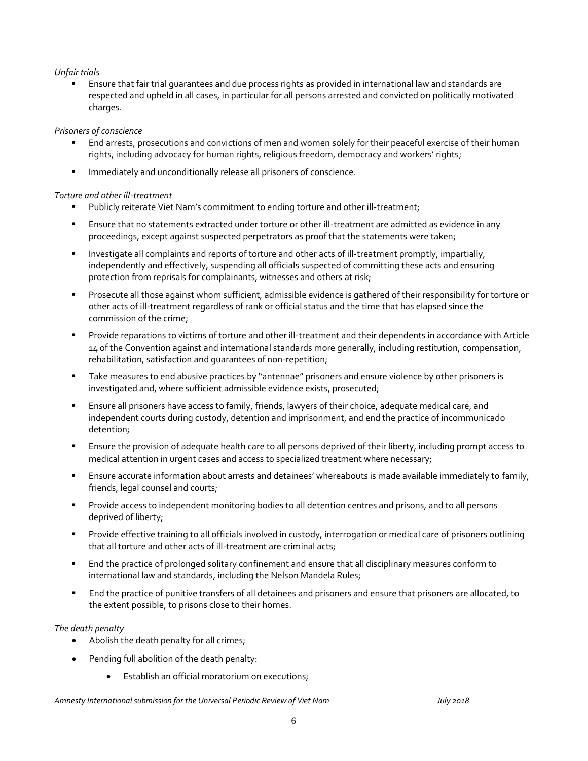#### *Unfair trials*

 Ensure that fair trial guarantees and due process rights as provided in international law and standards are respected and upheld in all cases, in particular for all persons arrested and convicted on politically motivated charges.

#### *Prisoners of conscience*

- End arrests, prosecutions and convictions of men and women solely for their peaceful exercise of their human rights, including advocacy for human rights, religious freedom, democracy and workers' rights;
- **IMMEDIATELY** and unconditionally release all prisoners of conscience.

#### *Torture and other ill-treatment*

- Publicly reiterate Viet Nam's commitment to ending torture and other ill-treatment;
- Ensure that no statements extracted under torture or other ill-treatment are admitted as evidence in any proceedings, except against suspected perpetrators as proof that the statements were taken;
- **Investigate all complaints and reports of torture and other acts of ill-treatment promptly, impartially,** independently and effectively, suspending all officials suspected of committing these acts and ensuring protection from reprisals for complainants, witnesses and others at risk;
- Prosecute all those against whom sufficient, admissible evidence is gathered of their responsibility for torture or other acts of ill-treatment regardless of rank or official status and the time that has elapsed since the commission of the crime;
- Provide reparations to victims of torture and other ill-treatment and their dependents in accordance with Article 14 of the Convention against and international standards more generally, including restitution, compensation, rehabilitation, satisfaction and guarantees of non-repetition;
- Take measures to end abusive practices by "antennae" prisoners and ensure violence by other prisoners is investigated and, where sufficient admissible evidence exists, prosecuted;
- Ensure all prisoners have access to family, friends, lawyers of their choice, adequate medical care, and independent courts during custody, detention and imprisonment, and end the practice of incommunicado detention;
- Ensure the provision of adequate health care to all persons deprived of their liberty, including prompt access to medical attention in urgent cases and access to specialized treatment where necessary;
- Ensure accurate information about arrests and detainees' whereabouts is made available immediately to family, friends, legal counsel and courts;
- **Provide access to independent monitoring bodies to all detention centres and prisons, and to all persons** deprived of liberty;
- **Provide effective training to all officials involved in custody, interrogation or medical care of prisoners outlining** that all torture and other acts of ill-treatment are criminal acts;
- End the practice of prolonged solitary confinement and ensure that all disciplinary measures conform to international law and standards, including the Nelson Mandela Rules;
- End the practice of punitive transfers of all detainees and prisoners and ensure that prisoners are allocated, to the extent possible, to prisons close to their homes.

#### *The death penalty*

- Abolish the death penalty for all crimes;
- Pending full abolition of the death penalty:
	- Establish an official moratorium on executions;

*Amnesty International submission for the Universal Periodic Review of Viet Nam July 2018*